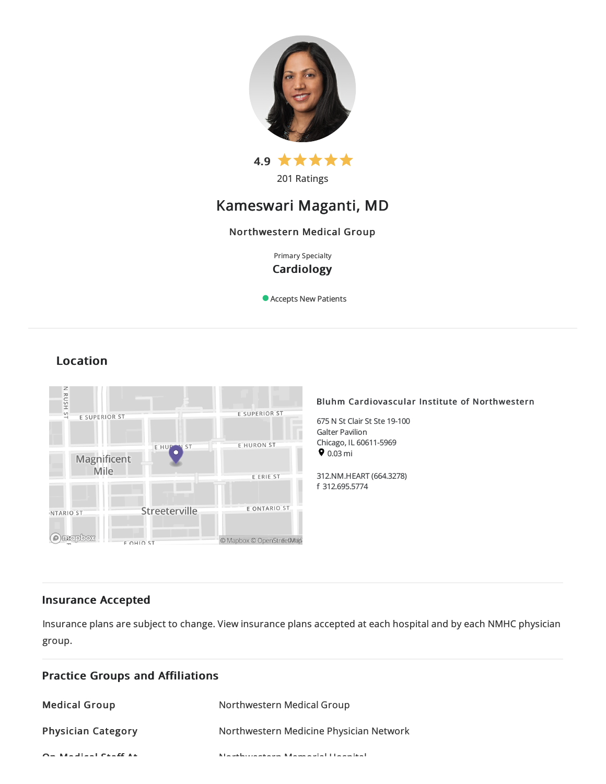

201 Ratings

# Kameswari Maganti, MD

# Northwestern Medical Group

Primary Specialty **Cardiology** 

Accepts New Patients

# RUSH ST E SUPERIOR ST E SUPERIOR ST EHURONIST EHUP  $ST$ Magnificent Mile E ERIE ST E ONTARIO ST Streeterville NTARIO ST **Ontapbox** © Mapbox © OpenStreetMap **FOHIO ST**

# Bluhm Cardiovascular Institute of Northwestern

675 N St Clair St Ste 19-100 Galter Pavilion Chicago, IL 60611-5969  $9.03 \text{ mi}$ 

312.NM.HEART(664.3278) f 312.695.5774

# Insurance Accepted

Insurance plans are subject to change. View [insurance](https://www.nm.org/patients-and-visitors/billing-and-insurance/insurance-information/accepted-insurance-plans) plans accepted at each hospital and by each NMHC physician group.

| <b>Practice Groups and Affiliations</b>                                         |                                                        |  |
|---------------------------------------------------------------------------------|--------------------------------------------------------|--|
| <b>Medical Group</b>                                                            | Northwestern Medical Group                             |  |
| <b>Physician Category</b>                                                       | Northwestern Medicine Physician Network                |  |
| $Q_{\text{max}}$ and $Q_{\text{max}}$ and $Q_{\text{max}}$ and $Q_{\text{max}}$ | A hardward and a complete and a solid the analysis had |  |

# Location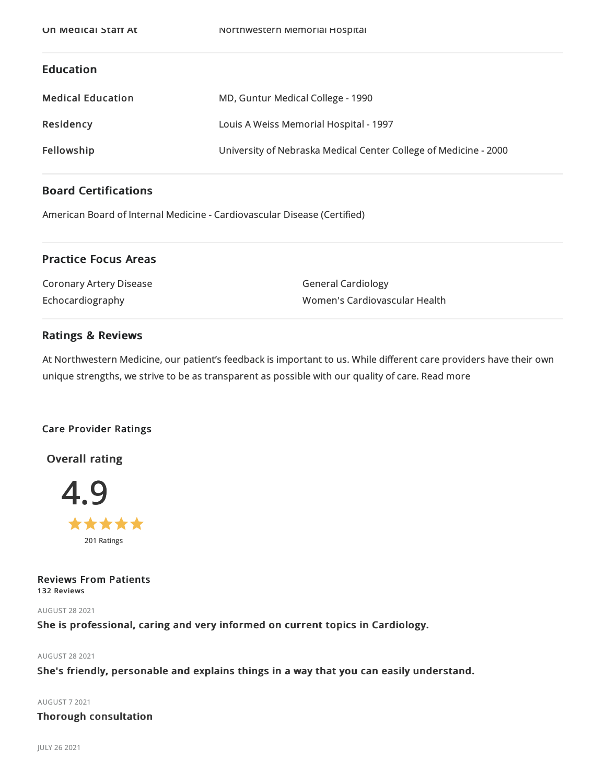# Education

| <b>Medical Education</b> | MD, Guntur Medical College - 1990                                |
|--------------------------|------------------------------------------------------------------|
| Residency                | Louis A Weiss Memorial Hospital - 1997                           |
| Fellowship               | University of Nebraska Medical Center College of Medicine - 2000 |

# Board Certifications

American Board of Internal Medicine- Cardiovascular Disease(Certified)

# Practice Focus Areas

| Coronary Artery Disease | <b>General Cardiology</b>     |
|-------------------------|-------------------------------|
| Echocardiography        | Women's Cardiovascular Health |

# Ratings & Reviews

At Northwestern Medicine, our patient's feedback is important to us. While different care providers have their own unique strengths, we strive to be as transparent as possible with our quality of care. Read more

# Care Provider Ratings

Overall rating



Reviews From Patients 132 Reviews

AUGUST 282021

She is professional, caring and very informed on current topics in Cardiology.

AUGUST 282021

She's friendly, personable and explains things in a way that you can easily understand.

AUGUST 72021

# Thorough consultation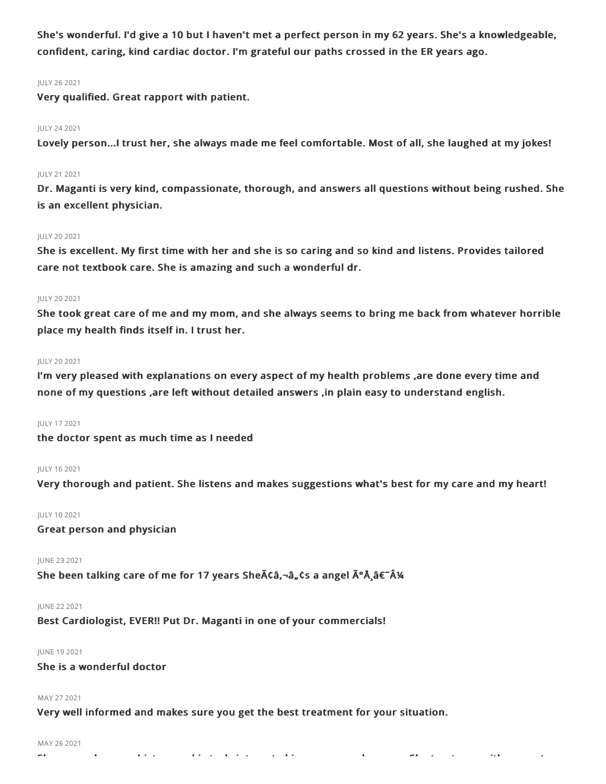She's wonderful. I'd give a 10 but I haven't met a perfect person in my 62 years. She's a knowledgeable, confident, caring, kind cardiac doctor. I'm grateful our paths crossed in the ER years ago.

### JULY 262021

Very qualified. Great rapport with patient.

### JULY 242021

Lovely person...I trust her, she always made me feel comfortable. Most of all, she laughed at my jokes!

#### JULY 212021

Dr. Maganti is very kind, compassionate, thorough, and answers all questions without being rushed. She is an excellent physician.

#### JULY 202021

She is excellent. My first time with her and she is so caring and so kind and listens. Provides tailored care not textbook care. She is amazing and such a wonderful dr.

### JULY 202021

She took great care of me and my mom, and she always seems to bring me back from whatever horrible place my health finds itself in. I trust her.

### JULY 202021

I'm very pleased with explanations on every aspect of my health problems ,are done every time and none of my questions ,are left without detailed answers ,in plain easy to understand english.

# JULY 172021

the doctor spent as much time as I needed

# JULY 162021

Very thorough and patient. She listens and makes suggestions what's best for my care and my heart!

#### JULY 102021

Great person and physician

#### JUNE 232021

She been talking care of me for 17 years She $\tilde{A}$ Ca, $-\hat{a}_n$ Cs a angel  $\tilde{A}^{\circ}$ Å $\hat{A}^{\circ}$  $\hat{A}^{\circ}$ Å $\hat{A}$ 

#### JUNE 222021

Best Cardiologist, EVER!! Put Dr. Maganti in one of your commercials!

# JUNE 192021

# She is a wonderful doctor

#### MAY 27 2021

Very well informed and makes sure you get the best treatment for your situation.

#### MAY 26 2021

She remembers my history and is truly interested in me as a real person. She treats me with respect.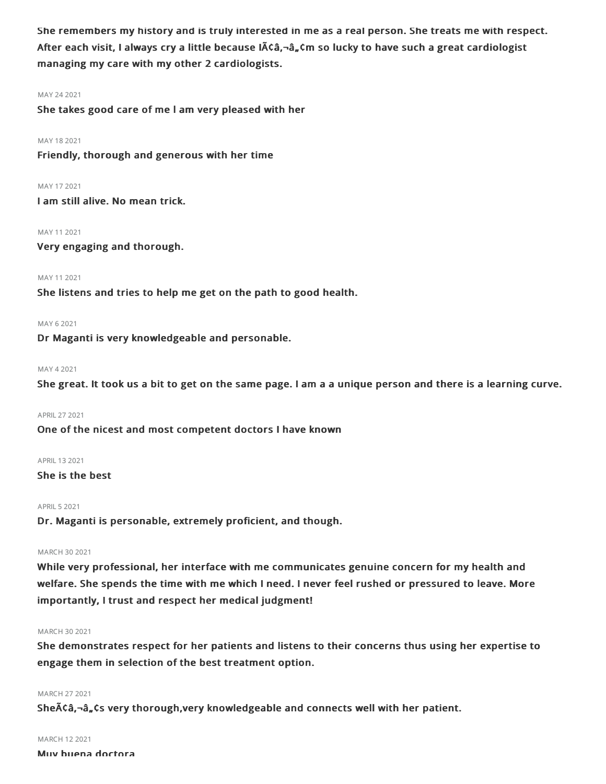She remembers my history and is truly interested in me as a real person. She treats me with respect. After each visit, I always cry a little because  $\tilde{A}$ câ, $\tilde{\sigma}$ , $\tilde{\sigma}$ ,  $\tilde{\sigma}$  so lucky to have such a great cardiologist managing my care with my other 2 cardiologists.

# MAY 242021

She takes good care of me l am very pleased with her

### MAY 182021

Friendly, thorough and generous with her time

#### MAY 172021

I am still alive. No mean trick.

### MAY 112021

Very engaging and thorough.

# MAY 112021

She listens and tries to help me get on the path to good health.

### MAY 62021

Dr Maganti is very knowledgeable and personable.

## MAY 42021

She great. It took us a bit to get on the same page. I am a a unique person and there is a learning curve.

#### APRIL272021

One of the nicest and most competent doctors I have known

# APRIL 13 2021

# She is the best

# **APRIL 5 2021**

Dr. Maganti is personable, extremely proficient, and though.

# MARCH 30 2021

While very professional, her interface with me communicates genuine concern for my health and welfare. She spends the time with me which I need. I never feel rushed or pressured to leave. More importantly, I trust and respect her medical judgment!

# MARCH 30 2021

She demonstrates respect for her patients and listens to their concerns thus using her expertise to engage them in selection of the best treatment option.

# MARCH 272021

She $\tilde{A}$ Ca,-a, Cs very thorough,very knowledgeable and connects well with her patient.

#### MARCH 122021

Muy buena doctora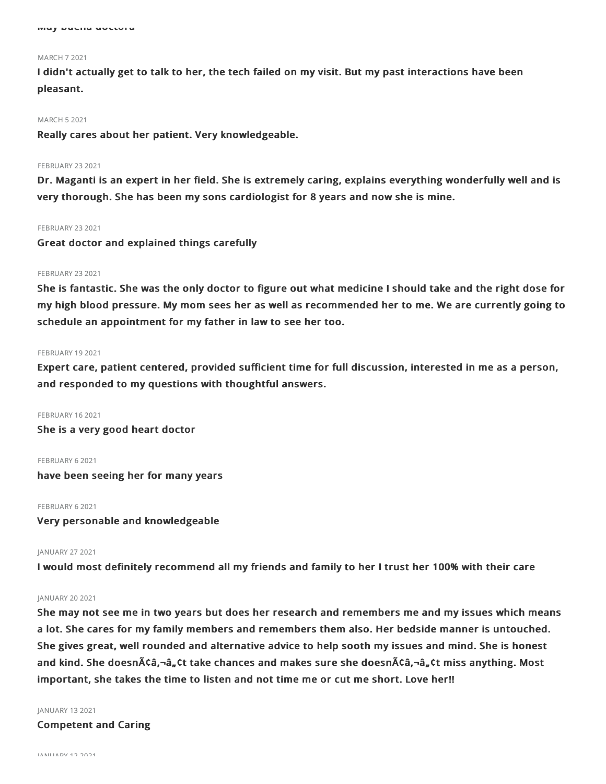#### MARCH 72021

I didn't actually get to talk to her, the tech failed on my visit. But my past interactions have been pleasant.

#### MARCH 52021

Really cares about her patient. Very knowledgeable.

#### **FEBRUARY 23 2021**

Dr. Maganti is an expert in her field. She is extremely caring, explains everything wonderfully well and is very thorough. She has been my sons cardiologist for 8 years and now she is mine.

#### **FEBRUARY 23 2021**

Great doctor and explained things carefully

#### FEBRUARY 23 2021

She is fantastic. She was the only doctor to figure out what medicine I should take and the right dose for my high blood pressure. My mom sees her as well as recommended her to me. We are currently going to schedule an appointment for my father in law to see her too.

#### FEBRUARY 19 2021

Expert care, patient centered, provided sufficient time for full discussion, interested in me as a person, and responded to my questions with thoughtful answers.

FEBRUARY 162021

She is a very good heart doctor

FEBRUARY 62021

have been seeing her for many years

### FEBRUARY 6 2021

Very personable and knowledgeable

#### JANUARY 272021

I would most definitely recommend all my friends and family to her I trust her 100% with their care

## JANUARY 20 2021

She may not see me in two years but does her research and remembers me and my issues which means a lot. She cares for my family members and remembers them also. Her bedside manner is untouched. She gives great, well rounded and alternative advice to help sooth my issues and mind. She is honest and kind. She doesn $\tilde{A}$  $\zeta$ a, $\zeta$ t take chances and makes sure she doesn $\tilde{A}$  $\zeta$ a, $\zeta$ t miss anything. Most important, she takes the time to listen and not time me or cut me short. Love her!!

JANUARY 132021

Competent and Caring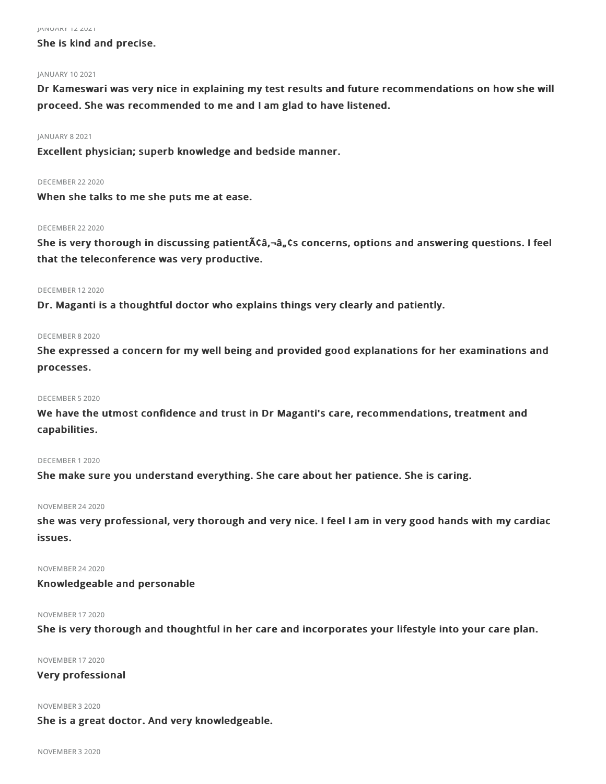#### JANUARY 122021

She is kind and precise.

# JANUARY 102021

Dr Kameswari was very nice in explaining my test results and future recommendations on how she will proceed. She was recommended to me and I am glad to have listened.

#### JANUARY 82021

Excellent physician; superb knowledge and bedside manner.

# DECEMBER 222020

When she talks to me she puts me at ease.

#### DECEMBER 22 2020

She is very thorough in discussing patient A ca,-a, cs concerns, options and answering questions. I feel that the teleconference was very productive.

#### DECEMBER 122020

Dr. Maganti is a thoughtful doctor who explains things very clearly and patiently.

#### DECEMBER 82020

She expressed a concern for my well being and provided good explanations for her examinations and processes.

#### DECEMBER 52020

We have the utmost confidence and trust in Dr Maganti's care, recommendations, treatment and capabilities.

#### DECEMBER 12020

She make sure you understand everything. She care about her patience. She is caring.

#### NOVEMBER 242020

she was very professional, very thorough and very nice. I feel I am in very good hands with my cardiac issues.

### NOVEMBER 242020

# Knowledgeable and personable

#### NOVEMBER 172020

She is very thorough and thoughtful in her care and incorporates your lifestyle into your care plan.

NOVEMBER 172020

# Very professional

#### NOVEMBER 32020

She is a great doctor. And very knowledgeable.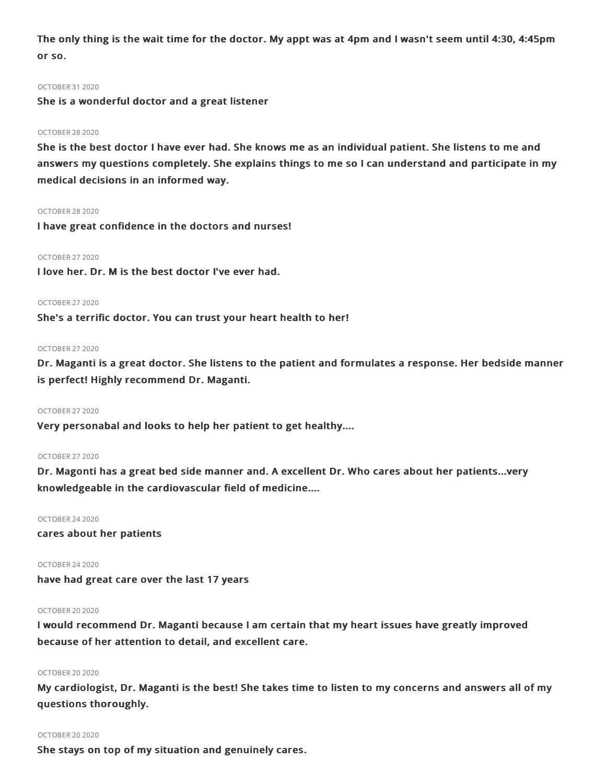The only thing is the wait time for the doctor. My appt was at 4pm and I wasn't seem until 4:30, 4:45pm or so.

#### OCTOBER 312020

She is a wonderful doctor and a great listener

### OCTOBER 282020

She is the best doctor I have ever had. She knows me as an individual patient. She listens to me and answers my questions completely. She explains things to me so I can understand and participate in my medical decisions in an informed way.

#### OCTOBER 282020

I have great confidence in the doctors and nurses!

# OCTOBER 272020

I love her. Dr. M is the best doctor I've ever had.

### OCTOBER 272020

She's a terrific doctor. You can trust your heart health to her!

#### OCTOBER 272020

Dr. Maganti is a great doctor. She listens to the patient and formulates a response. Her bedside manner is perfect! Highly recommend Dr. Maganti.

#### OCTOBER 272020

Very personabal and looks to help her patient to get healthy....

# OCTOBER 272020

Dr. Magonti has a great bed side manner and. A excellent Dr. Who cares about her patients...very knowledgeable in the cardiovascular field of medicine....

### OCTOBER 242020

cares about her patients

# OCTOBER 242020

have had great care over the last 17 years

# OCTOBER 20 2020

I would recommend Dr. Maganti because I am certain that my heart issues have greatly improved because of her attention to detail, and excellent care.

# OCTOBER 20 2020

My cardiologist, Dr. Maganti is the best! She takes time to listen to my concerns and answers all of my questions thoroughly.

# OCTOBER 20 2020

She stays on top of my situation and genuinely cares.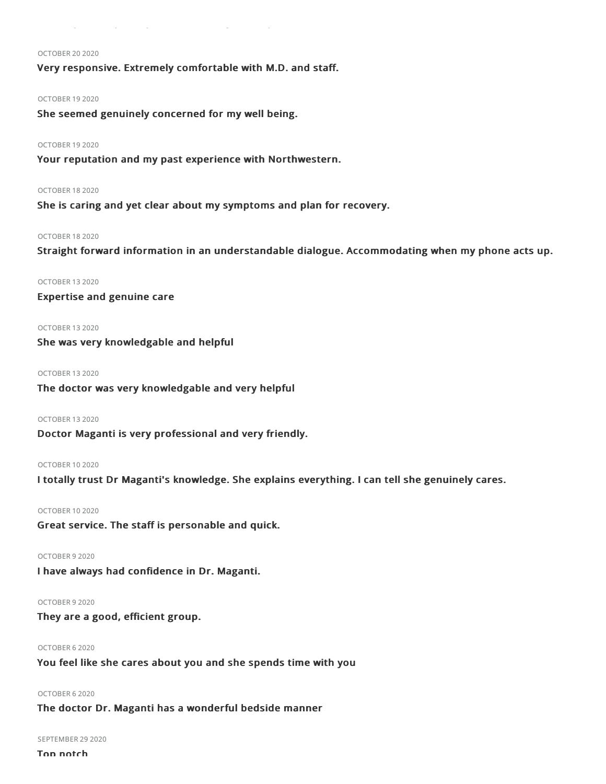#### OCTOBER 20 2020

Very responsive. Extremely comfortable with M.D. and staff.

#### OCTOBER 192020

She seemed genuinely concerned for my well being.

#### OCTOBER 192020

Your reputation and my past experience with Northwestern.

#### OCTOBER 182020

She is caring and yet clear about my symptoms and plan for recovery.

#### OCTOBER 182020

Straight forward information in an understandable dialogue. Accommodating when my phone acts up.

# OCTOBER 132020

# Expertise and genuine care

# OCTOBER 132020

She was very knowledgable and helpful

### OCTOBER 132020

The doctor was very knowledgable and very helpful

# OCTOBER 132020

Doctor Maganti is very professional and very friendly.

#### OCTOBER 102020

I totally trust Dr Maganti's knowledge. She explains everything. I can tell she genuinely cares.

OCTOBER 102020 Great service. The staff is personable and quick.

### OCTOBER 92020

I have always had confidence in Dr. Maganti.

#### OCTOBER 92020

They are a good, efficient group.

# OCTOBER 62020

You feel like she cares about you and she spends time with you

# OCTOBER 62020

The doctor Dr. Maganti has a wonderful bedside manner

# SEPTEMBER 29 2020

Top notch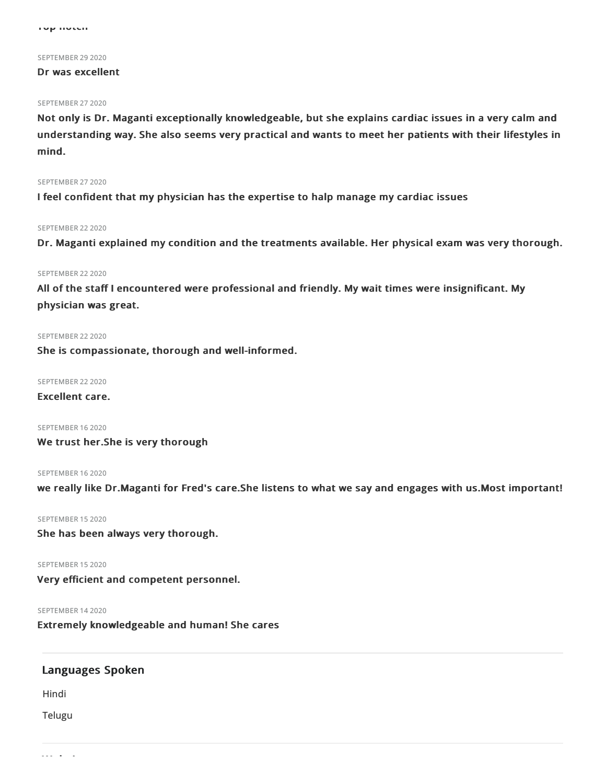Top notch

#### SEPTEMBER 29 2020

#### Dr was excellent

# SEPTEMBER 27 2020

Not only is Dr. Maganti exceptionally knowledgeable, but she explains cardiac issues in a very calm and understanding way. She also seems very practical and wants to meet her patients with their lifestyles in mind.

# SEPTEMBER 27 2020

I feel confident that my physician has the expertise to halp manage my cardiac issues

#### SEPTEMBER 22 2020

Dr. Maganti explained my condition and the treatments available. Her physical exam was very thorough.

#### SEPTEMBER 22 2020

All of the staff I encountered were professional and friendly. My wait times were insignificant. My physician was great.

#### SEPTEMBER 22 2020

She is compassionate, thorough and well-informed.

SEPTEMBER 22 2020

Excellent care.

SEPTEMBER 16 2020 We trust her.She is very thorough

SEPTEMBER 16 2020 we really like Dr.Maganti for Fred's care.She listens to what we say and engages with us.Most important!

SEPTEMBER 15 2020 She has been always very thorough.

SEPTEMBER 15 2020 Very efficient and competent personnel.

SEPTEMBER 142020

Extremely knowledgeable and human! She cares

# Languages Spoken

Hindi

Telugu